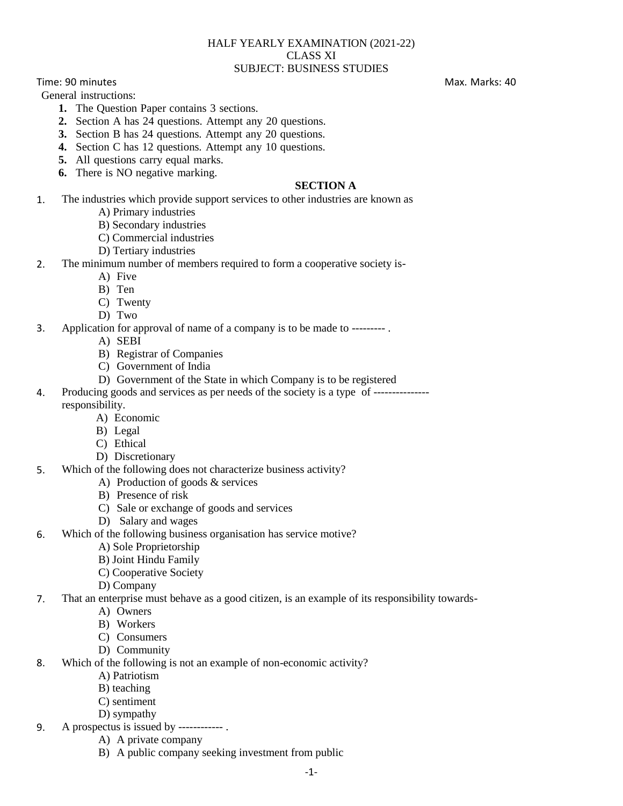#### HALF YEARLY EXAMINATION (2021-22) CLASS XI SUBJECT: BUSINESS STUDIES

Time: 90 minutes Max. Marks: 40

General instructions:

- **1.** The Question Paper contains 3 sections.
- **2.** Section A has 24 questions. Attempt any 20 questions.
- **3.** Section B has 24 questions. Attempt any 20 questions.
- **4.** Section C has 12 questions. Attempt any 10 questions.
- **5.** All questions carry equal marks.
- **6.** There is NO negative marking.

### **SECTION A**

- 1. The industries which provide support services to other industries are known as
	- A) Primary industries
	- B) Secondary industries
	- C) Commercial industries
	- D) Tertiary industries
- 2. The minimum number of members required to form a cooperative society is-
	- A) Five
		- B) Ten
		- C) Twenty
		- D) Two
- 3. Application for approval of name of a company is to be made to --------- .
	- A) SEBI
	- B) Registrar of Companies
	- C) Government of India
	- D) Government of the State in which Company is to be registered
- 4. Producing goods and services as per needs of the society is a type of -------------- responsibility.
	- A) Economic
	- B) Legal
	- C) Ethical
	- D) Discretionary
- 5. Which of the following does not characterize business activity?
	- A) Production of goods & services
		- B) Presence of risk
		- C) Sale or exchange of goods and services
	- D) Salary and wages
- 6. Which of the following business organisation has service motive?
	- A) Sole Proprietorship
	- B) Joint Hindu Family
	- C) Cooperative Society
	- D) Company
- 7. That an enterprise must behave as a good citizen, is an example of its responsibility towards-
	- A) Owners
	- B) Workers
	- C) Consumers
	- D) Community
- 8. Which of the following is not an example of non-economic activity?
	- A) Patriotism
	- B) teaching
	- C) sentiment
	- D) sympathy
- 9. A prospectus is issued by ------------ .
	- A) A private company
	- B) A public company seeking investment from public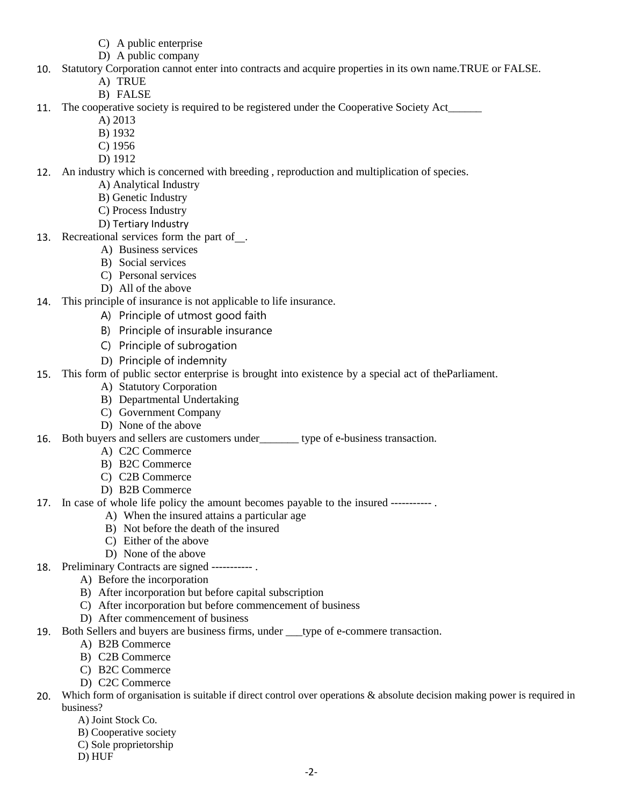- C) A public enterprise
- D) A public company
- 10. Statutory Corporation cannot enter into contracts and acquire properties in its own name.TRUE or FALSE.
	- A) TRUE
	- B) FALSE
- 11. The cooperative society is required to be registered under the Cooperative Society Act\_\_\_\_\_\_
	- A) 2013
	- B) 1932
	- C) 1956
	- D) 1912
- 12. An industry which is concerned with breeding , reproduction and multiplication of species.
	- A) Analytical Industry
	- B) Genetic Industry
	- C) Process Industry
	- D) Tertiary Industry
- 13. Recreational services form the part of .
	- A) Business services
	- B) Social services
	- C) Personal services
	- D) All of the above
- 14. This principle of insurance is not applicable to life insurance.
	- A) Principle of utmost good faith
	- B) Principle of insurable insurance
	- C) Principle of subrogation
	- D) Principle of indemnity
- 15. This form of public sector enterprise is brought into existence by a special act of theParliament.
	- A) Statutory Corporation
	- B) Departmental Undertaking
	- C) Government Company
	- D) None of the above
- 16. Both buyers and sellers are customers under\_\_\_\_\_\_\_ type of e-business transaction.
	- A) C2C Commerce
	- B) B2C Commerce
	- C) C2B Commerce
	- D) B2B Commerce
- 17. In case of whole life policy the amount becomes payable to the insured ----------- .
	- A) When the insured attains a particular age
	- B) Not before the death of the insured
	- C) Either of the above
	- D) None of the above
- 18. Preliminary Contracts are signed ----------- .
	- A) Before the incorporation
	- B) After incorporation but before capital subscription
	- C) After incorporation but before commencement of business
	- D) After commencement of business
- 19. Both Sellers and buyers are business firms, under \_\_\_type of e-commere transaction.
	- A) B2B Commerce
	- B) C2B Commerce
	- C) B2C Commerce
	- D) C2C Commerce
- 20. Which form of organisation is suitable if direct control over operations & absolute decision making power is required in business?
	- A) Joint Stock Co.
	- B) Cooperative society
	- C) Sole proprietorship
	- D) HUF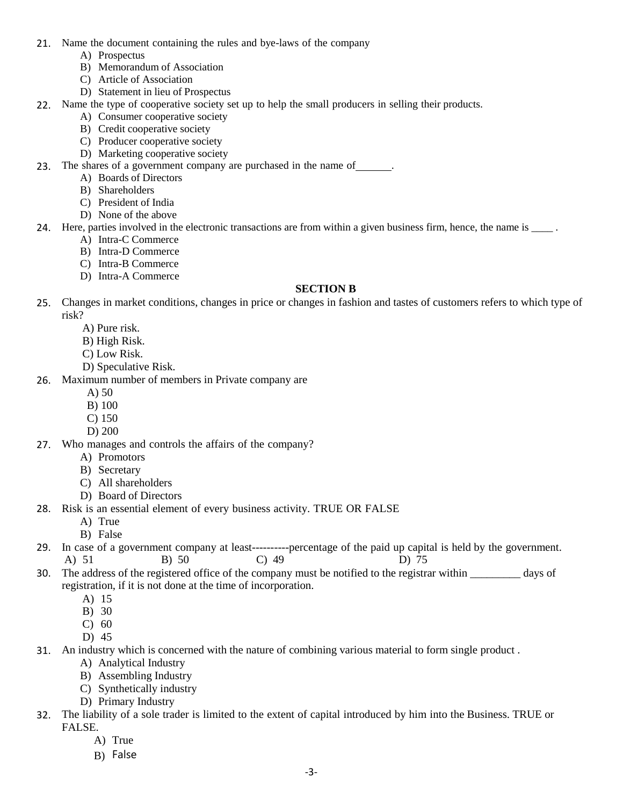- 21. Name the document containing the rules and bye-laws of the company
	- A) Prospectus
	- B) Memorandum of Association
	- C) Article of Association
	- D) Statement in lieu of Prospectus
- 22. Name the type of cooperative society set up to help the small producers in selling their products.
	- A) Consumer cooperative society
	- B) Credit cooperative society
	- C) Producer cooperative society
	- D) Marketing cooperative society
- 23. The shares of a government company are purchased in the name of .
	- A) Boards of Directors
		- B) Shareholders
	- C) President of India
	- D) None of the above
- 24. Here, parties involved in the electronic transactions are from within a given business firm, hence, the name is  $\frac{1}{\sqrt{2}}$ .
	- A) Intra-C Commerce
	- B) Intra-D Commerce
	- C) Intra-B Commerce
	- D) Intra-A Commerce

### **SECTION B**

- 25. Changes in market conditions, changes in price or changes in fashion and tastes of customers refers to which type of risk?
	- A) Pure risk.
	- B) High Risk.
	- C) Low Risk.
	- D) Speculative Risk.
- 26. Maximum number of members in Private company are
	- A) 50
	- B) 100
	- C) 150
	- D) 200
- 27. Who manages and controls the affairs of the company?
	- A) Promotors
	- B) Secretary
	- C) All shareholders
	- D) Board of Directors
- 28. Risk is an essential element of every business activity. TRUE OR FALSE
	- A) True
	- B) False
- 29. In case of a government company at least----------percentage of the paid up capital is held by the government.<br>
A)  $51$  B)  $50$  C)  $49$  D)  $75$ A) 51 B) 50 C) 49 D) 75
- 30. The address of the registered office of the company must be notified to the registrar within days of registration, if it is not done at the time of incorporation.
	- A) 15
	- B) 30
	- C) 60
	- D) 45
- 31. An industry which is concerned with the nature of combining various material to form single product .
	- A) Analytical Industry
	- B) Assembling Industry
	- C) Synthetically industry
	- D) Primary Industry
- 32. The liability of a sole trader is limited to the extent of capital introduced by him into the Business. TRUE or FALSE.
	- A) True
	- B) False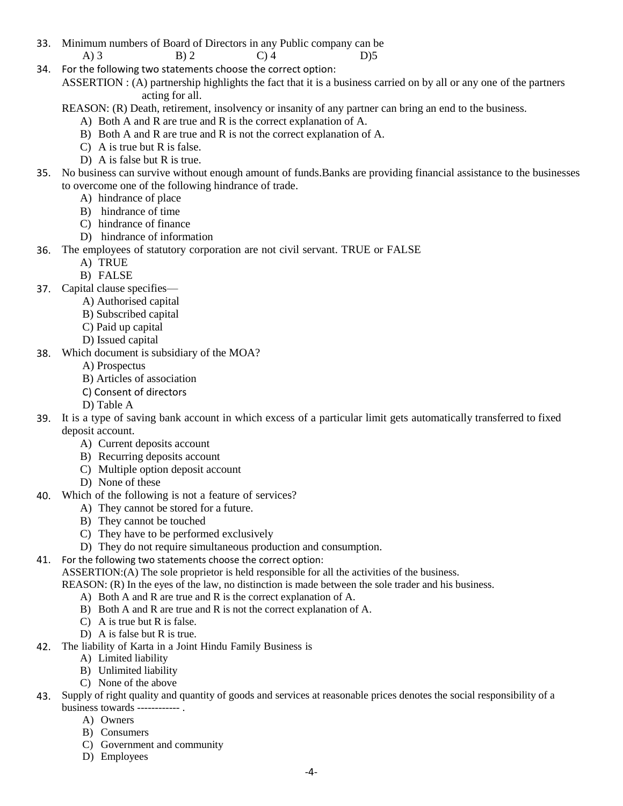- 33. Minimum numbers of Board of Directors in any Public company can be A) 3 B) 2 C) 4 D) 5
- 34. For the following two statements choose the correct option:
	- ASSERTION : (A) partnership highlights the fact that it is a business carried on by all or any one of the partners acting for all.
	- REASON: (R) Death, retirement, insolvency or insanity of any partner can bring an end to the business.
		- A) Both A and R are true and R is the correct explanation of A.
		- B) Both A and R are true and R is not the correct explanation of A.
		- C) A is true but R is false.
		- D) A is false but R is true.
- 35. No business can survive without enough amount of funds.Banks are providing financial assistance to the businesses to overcome one of the following hindrance of trade.
	- A) hindrance of place
	- B) hindrance of time
	- C) hindrance of finance
	- D) hindrance of information
- 36. The employees of statutory corporation are not civil servant. TRUE or FALSE
	- A) TRUE
		- B) FALSE
- 37. Capital clause specifies—
	- A) Authorised capital
	- B) Subscribed capital
	- C) Paid up capital
	- D) Issued capital
- 38. Which document is subsidiary of the MOA?
	- A) Prospectus
	- B) Articles of association
	- C) Consent of directors
	- D) Table A
- 39. It is a type of saving bank account in which excess of a particular limit gets automatically transferred to fixed deposit account.
	- A) Current deposits account
	- B) Recurring deposits account
	- C) Multiple option deposit account
	- D) None of these
- 40. Which of the following is not a feature of services?
	- A) They cannot be stored for a future.
	- B) They cannot be touched
	- C) They have to be performed exclusively
	- D) They do not require simultaneous production and consumption.
- 41. For the following two statements choose the correct option:

ASSERTION:(A) The sole proprietor is held responsible for all the activities of the business.

REASON: (R) In the eyes of the law, no distinction is made between the sole trader and his business.

- A) Both A and R are true and R is the correct explanation of A.
- B) Both A and R are true and R is not the correct explanation of A.
- C) A is true but R is false.
- D) A is false but R is true.
- 42. The liability of Karta in a Joint Hindu Family Business is
	- A) Limited liability
	- B) Unlimited liability
	- C) None of the above
- 43. Supply of right quality and quantity of goods and services at reasonable prices denotes the social responsibility of a business towards ------------ .
	- A) Owners
	- B) Consumers
	- C) Government and community
	- D) Employees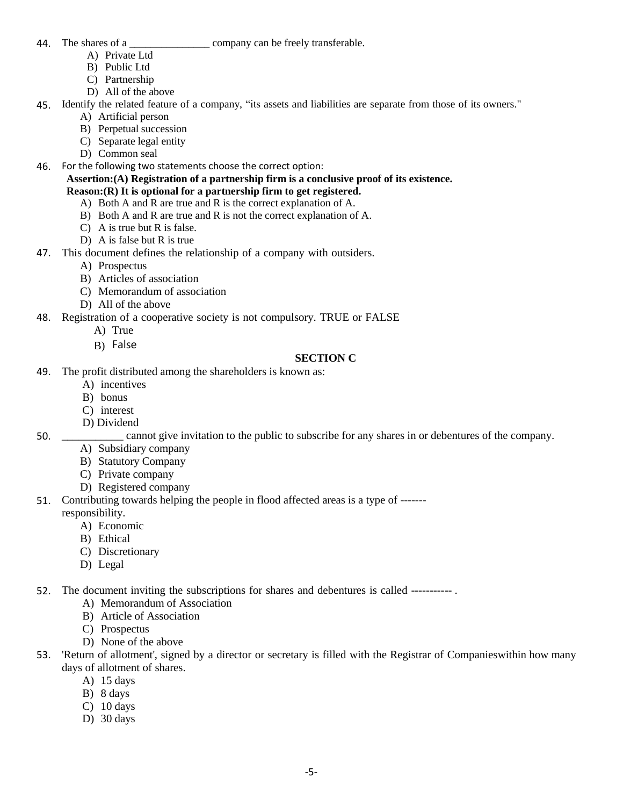- 
- 44. The shares of a \_\_\_\_\_\_\_\_\_\_\_\_\_\_\_\_\_\_\_\_\_\_ company can be freely transferable.
	- A) Private Ltd
	- B) Public Ltd
	- C) Partnership
	- D) All of the above
- 45. Identify the related feature of a company, "its assets and liabilities are separate from those of its owners."
	- A) Artificial person
	- B) Perpetual succession
	- C) Separate legal entity
	- D) Common seal
- 46. For the following two statements choose the correct option:
	- **Assertion:(A) Registration of a partnership firm is a conclusive proof of its existence. Reason:(R) It is optional for a partnership firm to get registered.**
		- A) Both A and R are true and R is the correct explanation of A.
		- B) Both A and R are true and R is not the correct explanation of A.
		- C) A is true but R is false.
		- D) A is false but R is true
- 47. This document defines the relationship of a company with outsiders.
	- A) Prospectus
	- B) Articles of association
	- C) Memorandum of association
	- D) All of the above
- 48. Registration of a cooperative society is not compulsory. TRUE or FALSE
	- A) True
		- B) False

### **SECTION C**

- 49. The profit distributed among the shareholders is known as:
	- A) incentives
	- B) bonus
	- C) interest
	- D) Dividend

50. \_\_\_\_\_\_\_\_\_\_\_ cannot give invitation to the public to subscribe for any shares in or debentures of the company.

- A) Subsidiary company
- B) Statutory Company
- C) Private company
- D) Registered company
- 51. Contributing towards helping the people in flood affected areas is a type of -------
- responsibility.
	- A) Economic
	- B) Ethical
	- C) Discretionary
	- D) Legal
- 52. The document inviting the subscriptions for shares and debentures is called ----------- .
	- A) Memorandum of Association
	- B) Article of Association
	- C) Prospectus
	- D) None of the above
- 53. 'Return of allotment', signed by a director or secretary is filled with the Registrar of Companieswithin how many days of allotment of shares.
	- A) 15 days
	- B) 8 days
	- C) 10 days
	- D) 30 days